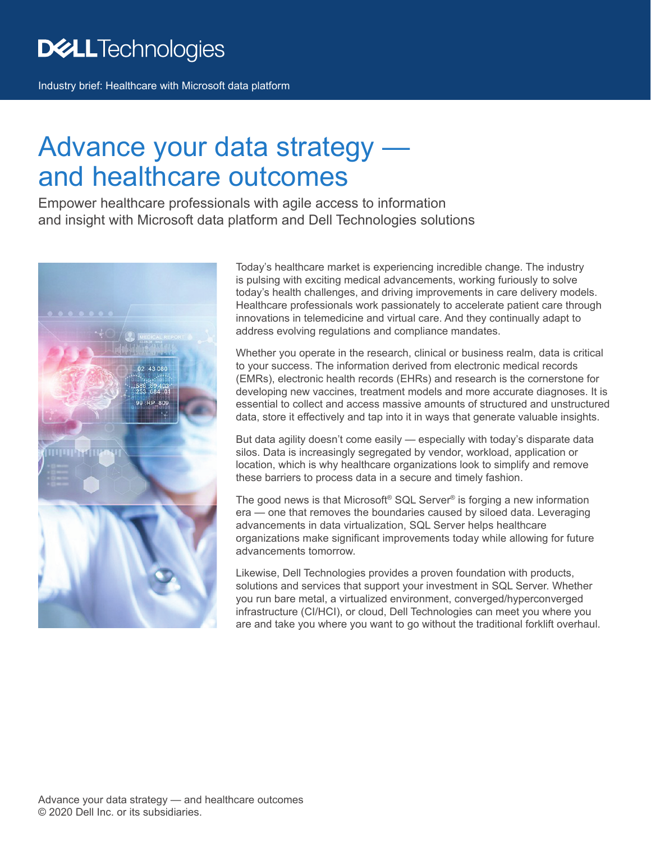Industry brief: Healthcare with Microsoft data platform

# Advance your data strategy and healthcare outcomes

Empower healthcare professionals with agile access to information and insight with Microsoft data platform and Dell Technologies solutions



Today's healthcare market is experiencing incredible change. The industry is pulsing with exciting medical advancements, working furiously to solve today's health challenges, and driving improvements in care delivery models. Healthcare professionals work passionately to accelerate patient care through innovations in telemedicine and virtual care. And they continually adapt to address evolving regulations and compliance mandates.

Whether you operate in the research, clinical or business realm, data is critical to your success. The information derived from electronic medical records (EMRs), electronic health records (EHRs) and research is the cornerstone for developing new vaccines, treatment models and more accurate diagnoses. It is essential to collect and access massive amounts of structured and unstructured data, store it effectively and tap into it in ways that generate valuable insights.

But data agility doesn't come easily — especially with today's disparate data silos. Data is increasingly segregated by vendor, workload, application or location, which is why healthcare organizations look to simplify and remove these barriers to process data in a secure and timely fashion.

The good news is that Microsoft® SQL Server® is forging a new information era — one that removes the boundaries caused by siloed data. Leveraging advancements in data virtualization, SQL Server helps healthcare organizations make significant improvements today while allowing for future advancements tomorrow.

Likewise, Dell Technologies provides a proven foundation with products, solutions and services that support your investment in SQL Server. Whether you run bare metal, a virtualized environment, converged/hyperconverged infrastructure (CI/HCI), or cloud, Dell Technologies can meet you where you are and take you where you want to go without the traditional forklift overhaul.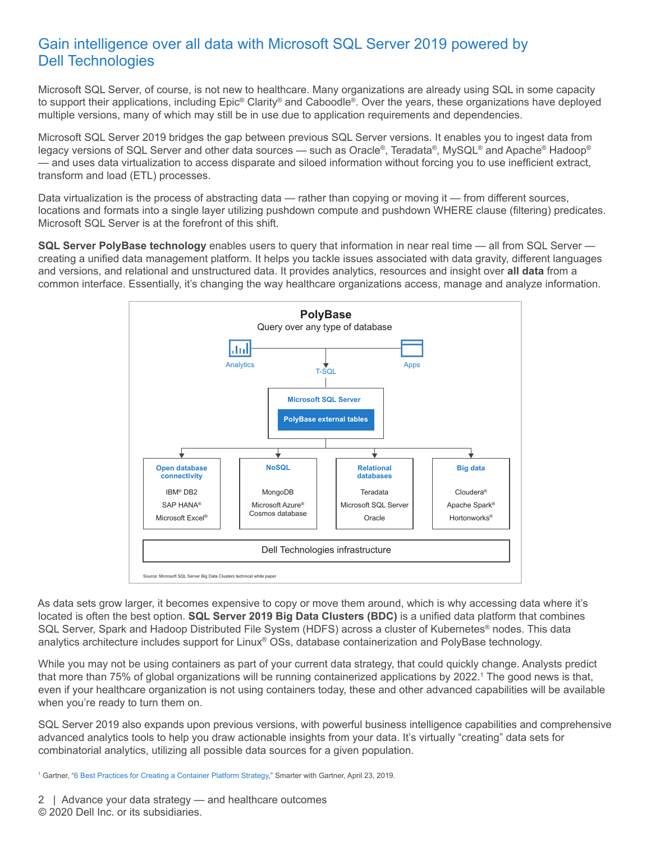## Gain intelligence over all data with Microsoft SQL Server 2019 powered by Dell Technologies

Microsoft SQL Server, of course, is not new to healthcare. Many organizations are already using SQL in some capacity to support their applications, including Epic® Clarity® and Caboodle®. Over the years, these organizations have deployed multiple versions, many of which may still be in use due to application requirements and dependencies.

Microsoft SQL Server 2019 bridges the gap between previous SQL Server versions. It enables you to ingest data from legacy versions of SQL Server and other data sources — such as Oracle®, Teradata®, MySQL® and Apache® Hadoop® — and uses data virtualization to access disparate and siloed information without forcing you to use inefficient extract, transform and load (ETL) processes.

Data virtualization is the process of abstracting data — rather than copying or moving it — from different sources, locations and formats into a single layer utilizing pushdown compute and pushdown WHERE clause (filtering) predicates. Microsoft SQL Server is at the forefront of this shift.

**SQL Server PolyBase technology** enables users to query that information in near real time — all from SQL Server creating a unified data management platform. It helps you tackle issues associated with data gravity, different languages and versions, and relational and unstructured data. It provides analytics, resources and insight over **all data** from a common interface. Essentially, it's changing the way healthcare organizations access, manage and analyze information.



As data sets grow larger, it becomes expensive to copy or move them around, which is why accessing data where it's located is often the best option. **SQL Server 2019 Big Data Clusters (BDC)** is a unified data platform that combines SQL Server, Spark and Hadoop Distributed File System (HDFS) across a cluster of Kubernetes® nodes. This data analytics architecture includes support for Linux® OSs, database containerization and PolyBase technology.

While you may not be using containers as part of your current data strategy, that could quickly change. Analysts predict that more than 75% of global organizations will be running containerized applications by 2022.1 The good news is that, even if your healthcare organization is not using containers today, these and other advanced capabilities will be available when you're ready to turn them on.

SQL Server 2019 also expands upon previous versions, with powerful business intelligence capabilities and comprehensive advanced analytics tools to help you draw actionable insights from your data. It's virtually "creating" data sets for combinatorial analytics, utilizing all possible data sources for a given population.

1 Gartner, "[6 Best Practices for Creating a Container Platform Strategy,](http://www.gartner.com/smarterwithgartner/6-best-practices-for-creating-a-container-platform-strategy)" Smarter with Gartner, April 23, 2019.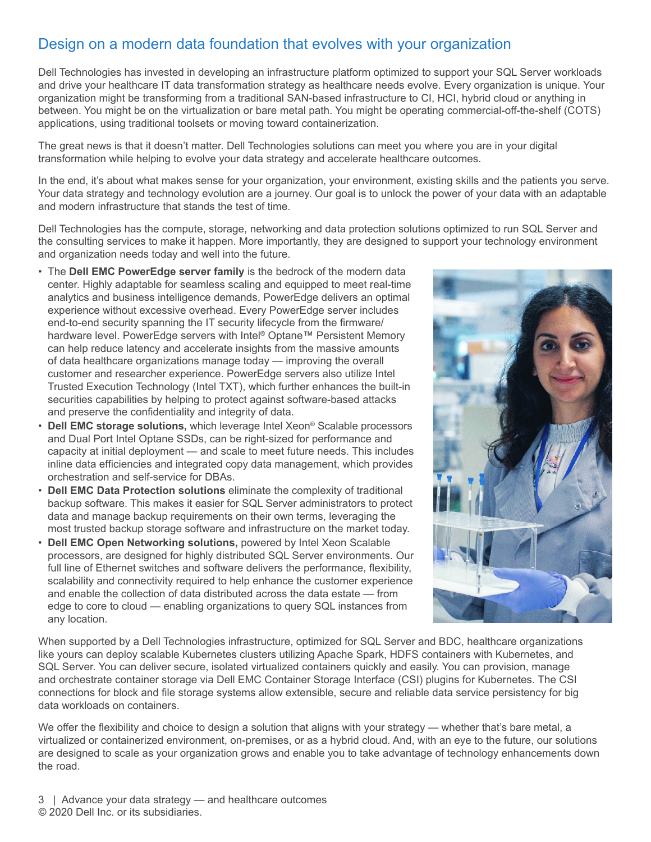# Design on a modern data foundation that evolves with your organization

Dell Technologies has invested in developing an infrastructure platform optimized to support your SQL Server workloads and drive your healthcare IT data transformation strategy as healthcare needs evolve. Every organization is unique. Your organization might be transforming from a traditional SAN‑based infrastructure to CI, HCI, hybrid cloud or anything in between. You might be on the virtualization or bare metal path. You might be operating commercial-off-the-shelf (COTS) applications, using traditional toolsets or moving toward containerization.

The great news is that it doesn't matter. Dell Technologies solutions can meet you where you are in your digital transformation while helping to evolve your data strategy and accelerate healthcare outcomes.

In the end, it's about what makes sense for your organization, your environment, existing skills and the patients you serve. Your data strategy and technology evolution are a journey. Our goal is to unlock the power of your data with an adaptable and modern infrastructure that stands the test of time.

Dell Technologies has the compute, storage, networking and data protection solutions optimized to run SQL Server and the consulting services to make it happen. More importantly, they are designed to support your technology environment and organization needs today and well into the future.

- The **Dell EMC PowerEdge server family** is the bedrock of the modern data center. Highly adaptable for seamless scaling and equipped to meet real-time analytics and business intelligence demands, PowerEdge delivers an optimal experience without excessive overhead. Every PowerEdge server includes end-to-end security spanning the IT security lifecycle from the firmware/ hardware level. PowerEdge servers with Intel® Optane™ Persistent Memory can help reduce latency and accelerate insights from the massive amounts of data healthcare organizations manage today — improving the overall customer and researcher experience. PowerEdge servers also utilize Intel Trusted Execution Technology (Intel TXT), which further enhances the built-in securities capabilities by helping to protect against software-based attacks and preserve the confidentiality and integrity of data.
- **Dell EMC storage solutions,** which leverage Intel Xeon® Scalable processors and Dual Port Intel Optane SSDs, can be right-sized for performance and capacity at initial deployment — and scale to meet future needs. This includes inline data efficiencies and integrated copy data management, which provides orchestration and self‑service for DBAs.
- **Dell EMC Data Protection solutions** eliminate the complexity of traditional backup software. This makes it easier for SQL Server administrators to protect data and manage backup requirements on their own terms, leveraging the most trusted backup storage software and infrastructure on the market today.
- **Dell EMC Open Networking solutions,** powered by Intel Xeon Scalable processors, are designed for highly distributed SQL Server environments. Our full line of Ethernet switches and software delivers the performance, flexibility, scalability and connectivity required to help enhance the customer experience and enable the collection of data distributed across the data estate — from edge to core to cloud — enabling organizations to query SQL instances from any location.



When supported by a Dell Technologies infrastructure, optimized for SQL Server and BDC, healthcare organizations like yours can deploy scalable Kubernetes clusters utilizing Apache Spark, HDFS containers with Kubernetes, and SQL Server. You can deliver secure, isolated virtualized containers quickly and easily. You can provision, manage and orchestrate container storage via Dell EMC Container Storage Interface (CSI) plugins for Kubernetes. The CSI connections for block and file storage systems allow extensible, secure and reliable data service persistency for big data workloads on containers.

We offer the flexibility and choice to design a solution that aligns with your strategy — whether that's bare metal, a virtualized or containerized environment, on‑premises, or as a hybrid cloud. And, with an eye to the future, our solutions are designed to scale as your organization grows and enable you to take advantage of technology enhancements down the road.